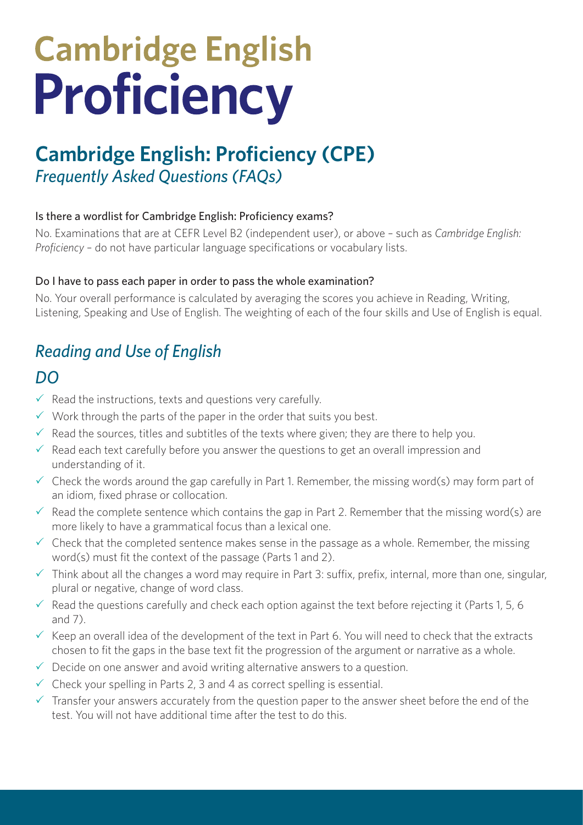# **Cambridge English** Proficiency

# **Cambridge English: Proficiency (CPE)** *Frequently Asked Questions (FAQs)*

#### Is there a wordlist for Cambridge English: Proficiency exams?

No. Examinations that are at CEFR Level B2 (independent user), or above – such as *Cambridge English: Proficiency* – do not have particular language specifications or vocabulary lists.

#### Do I have to pass each paper in order to pass the whole examination?

No. Your overall performance is calculated by averaging the scores you achieve in Reading, Writing, Listening, Speaking and Use of English. The weighting of each of the four skills and Use of English is equal.

## *Reading and Use of English*

## *DO*

- $\checkmark$  Read the instructions, texts and questions very carefully.
- $\checkmark$  Work through the parts of the paper in the order that suits you best.
- $\checkmark$  Read the sources, titles and subtitles of the texts where given; they are there to help you.
- $\checkmark$  Read each text carefully before you answer the questions to get an overall impression and understanding of it.
- $\checkmark$  Check the words around the gap carefully in Part 1. Remember, the missing word(s) may form part of an idiom, fixed phrase or collocation.
- $\checkmark$  Read the complete sentence which contains the gap in Part 2. Remember that the missing word(s) are more likely to have a grammatical focus than a lexical one.
- $\checkmark$  Check that the completed sentence makes sense in the passage as a whole. Remember, the missing word(s) must fit the context of the passage (Parts 1 and 2).
- $\checkmark$  Think about all the changes a word may require in Part 3: suffix, prefix, internal, more than one, singular, plural or negative, change of word class.
- $\checkmark$  Read the questions carefully and check each option against the text before rejecting it (Parts 1, 5, 6 and  $7)$
- $\checkmark$  Keep an overall idea of the development of the text in Part 6. You will need to check that the extracts chosen to fit the gaps in the base text fit the progression of the argument or narrative as a whole.
- $\checkmark$  Decide on one answer and avoid writing alternative answers to a question.
- $\checkmark$  Check your spelling in Parts 2, 3 and 4 as correct spelling is essential.
- $\checkmark$  Transfer your answers accurately from the question paper to the answer sheet before the end of the test. You will not have additional time after the test to do this.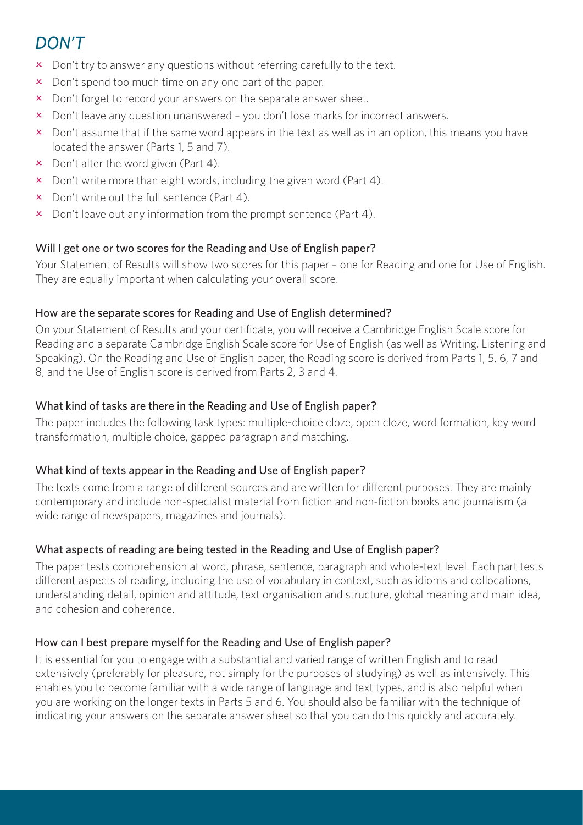# *DON'T*

- x Don't try to answer any questions without referring carefully to the text.
- $\boldsymbol{\times}$  Don't spend too much time on any one part of the paper.
- x Don't forget to record your answers on the separate answer sheet.
- $\times$  Don't leave any question unanswered you don't lose marks for incorrect answers.
- $\overline{\phantom{a}}$  Don't assume that if the same word appears in the text as well as in an option, this means you have located the answer (Parts 1, 5 and 7).
- $\mathbf x$  Don't alter the word given (Part 4).
- $\overline{\mathsf{x}}$  Don't write more than eight words, including the given word (Part 4).
- $\mathbf x$  Don't write out the full sentence (Part 4).
- $\overline{\phantom{a}}$  Don't leave out any information from the prompt sentence (Part 4).

#### Will I get one or two scores for the Reading and Use of English paper?

Your Statement of Results will show two scores for this paper – one for Reading and one for Use of English. They are equally important when calculating your overall score.

#### How are the separate scores for Reading and Use of English determined?

On your Statement of Results and your certificate, you will receive a Cambridge English Scale score for Reading and a separate Cambridge English Scale score for Use of English (as well as Writing, Listening and Speaking). On the Reading and Use of English paper, the Reading score is derived from Parts 1, 5, 6, 7 and 8, and the Use of English score is derived from Parts 2, 3 and 4.

#### What kind of tasks are there in the Reading and Use of English paper?

The paper includes the following task types: multiple-choice cloze, open cloze, word formation, key word transformation, multiple choice, gapped paragraph and matching.

#### What kind of texts appear in the Reading and Use of English paper?

The texts come from a range of different sources and are written for different purposes. They are mainly contemporary and include non-specialist material from fiction and non-fiction books and journalism (a wide range of newspapers, magazines and journals).

#### What aspects of reading are being tested in the Reading and Use of English paper?

The paper tests comprehension at word, phrase, sentence, paragraph and whole-text level. Each part tests different aspects of reading, including the use of vocabulary in context, such as idioms and collocations, understanding detail, opinion and attitude, text organisation and structure, global meaning and main idea, and cohesion and coherence.

#### How can I best prepare myself for the Reading and Use of English paper?

It is essential for you to engage with a substantial and varied range of written English and to read extensively (preferably for pleasure, not simply for the purposes of studying) as well as intensively. This enables you to become familiar with a wide range of language and text types, and is also helpful when you are working on the longer texts in Parts 5 and 6. You should also be familiar with the technique of indicating your answers on the separate answer sheet so that you can do this quickly and accurately.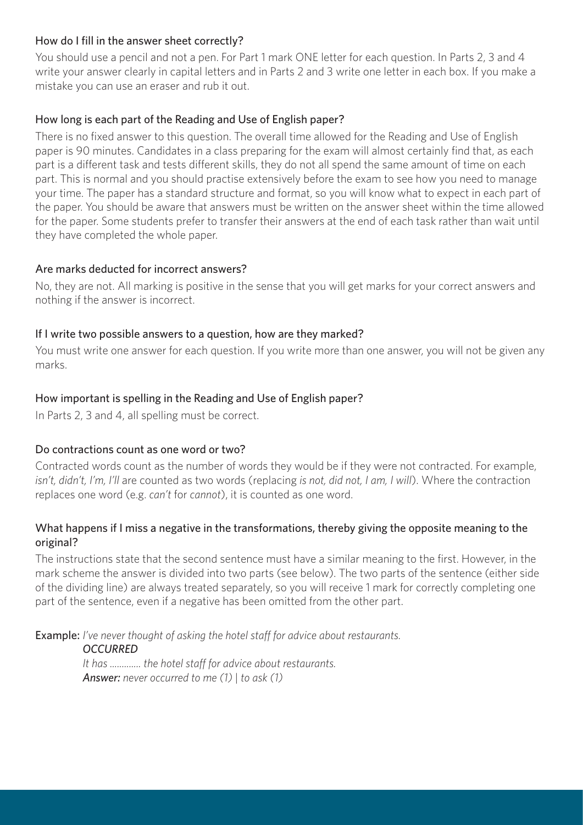#### How do I fill in the answer sheet correctly?

You should use a pencil and not a pen. For Part 1 mark ONE letter for each question. In Parts 2, 3 and 4 write your answer clearly in capital letters and in Parts 2 and 3 write one letter in each box. If you make a mistake you can use an eraser and rub it out.

#### How long is each part of the Reading and Use of English paper?

There is no fixed answer to this question. The overall time allowed for the Reading and Use of English paper is 90 minutes. Candidates in a class preparing for the exam will almost certainly find that, as each part is a different task and tests different skills, they do not all spend the same amount of time on each part. This is normal and you should practise extensively before the exam to see how you need to manage your time. The paper has a standard structure and format, so you will know what to expect in each part of the paper. You should be aware that answers must be written on the answer sheet within the time allowed for the paper. Some students prefer to transfer their answers at the end of each task rather than wait until they have completed the whole paper.

#### Are marks deducted for incorrect answers?

No, they are not. All marking is positive in the sense that you will get marks for your correct answers and nothing if the answer is incorrect.

#### If I write two possible answers to a question, how are they marked?

You must write one answer for each question. If you write more than one answer, you will not be given any marks.

#### How important is spelling in the Reading and Use of English paper?

In Parts 2, 3 and 4, all spelling must be correct.

#### Do contractions count as one word or two?

Contracted words count as the number of words they would be if they were not contracted. For example, *isn't, didn't, I'm, I'll* are counted as two words (replacing *is not, did not, I am, I will*). Where the contraction replaces one word (e.g. *can't* for *cannot*), it is counted as one word.

#### What happens if I miss a negative in the transformations, thereby giving the opposite meaning to the original?

The instructions state that the second sentence must have a similar meaning to the first. However, in the mark scheme the answer is divided into two parts (see below). The two parts of the sentence (either side of the dividing line) are always treated separately, so you will receive 1 mark for correctly completing one part of the sentence, even if a negative has been omitted from the other part.

Example: *I've never thought of asking the hotel staff for advice about restaurants.*

*OCCURRED*

*It has ............. the hotel staff for advice about restaurants. Answer: never occurred to me (1) | to ask (1)*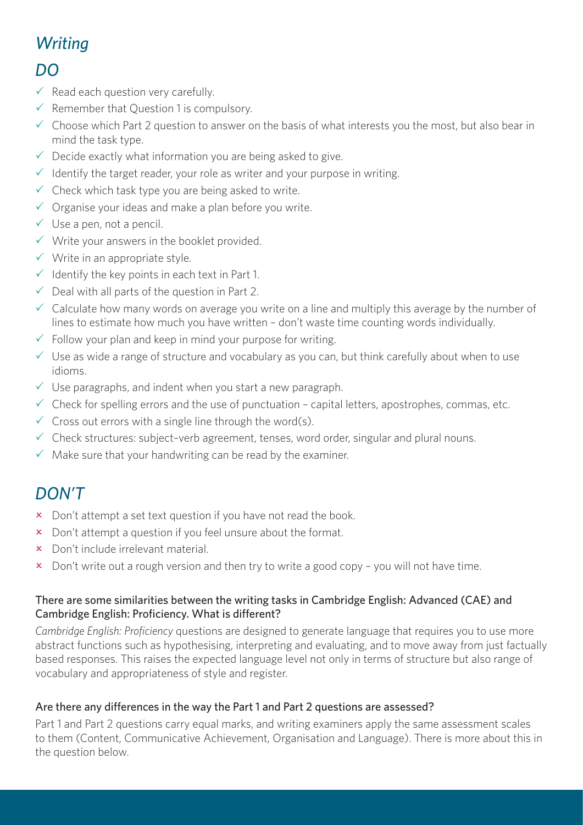# *Writing*

### *DO*

- $\checkmark$  Read each question very carefully.
- $\checkmark$  Remember that Question 1 is compulsory.
- $\checkmark$  Choose which Part 2 question to answer on the basis of what interests you the most, but also bear in mind the task type.
- $\checkmark$  Decide exactly what information you are being asked to give.
- $\checkmark$  Identify the target reader, your role as writer and your purpose in writing.
- $\checkmark$  Check which task type you are being asked to write.
- $\checkmark$  Organise your ideas and make a plan before you write.
- $\checkmark$  Use a pen, not a pencil.
- $\checkmark$  Write your answers in the booklet provided.
- $\checkmark$  Write in an appropriate style.
- $\checkmark$  Identify the key points in each text in Part 1.
- $\checkmark$  Deal with all parts of the question in Part 2.
- $\checkmark$  Calculate how many words on average you write on a line and multiply this average by the number of lines to estimate how much you have written – don't waste time counting words individually.
- $\checkmark$  Follow your plan and keep in mind your purpose for writing.
- $\checkmark$  Use as wide a range of structure and vocabulary as you can, but think carefully about when to use idioms.
- $\checkmark$  Use paragraphs, and indent when you start a new paragraph.
- $\checkmark$  Check for spelling errors and the use of punctuation capital letters, apostrophes, commas, etc.
- $\checkmark$  Cross out errors with a single line through the word(s).
- $\checkmark$  Check structures: subject-verb agreement, tenses, word order, singular and plural nouns.
- $\sqrt{\ }$  Make sure that your handwriting can be read by the examiner.

# *DON'T*

- $\times$  Don't attempt a set text question if you have not read the book.
- x Don't attempt a question if you feel unsure about the format.
- $\times$  Don't include irrelevant material.
- $\overline{\mathbf{x}}$  Don't write out a rough version and then try to write a good copy you will not have time.

#### There are some similarities between the writing tasks in Cambridge English: Advanced (CAE) and Cambridge English: Proficiency. What is different?

*Cambridge English: Proficiency* questions are designed to generate language that requires you to use more abstract functions such as hypothesising, interpreting and evaluating, and to move away from just factually based responses. This raises the expected language level not only in terms of structure but also range of vocabulary and appropriateness of style and register.

#### Are there any differences in the way the Part 1 and Part 2 questions are assessed?

Part 1 and Part 2 questions carry equal marks, and writing examiners apply the same assessment scales to them (Content, Communicative Achievement, Organisation and Language). There is more about this in the question below.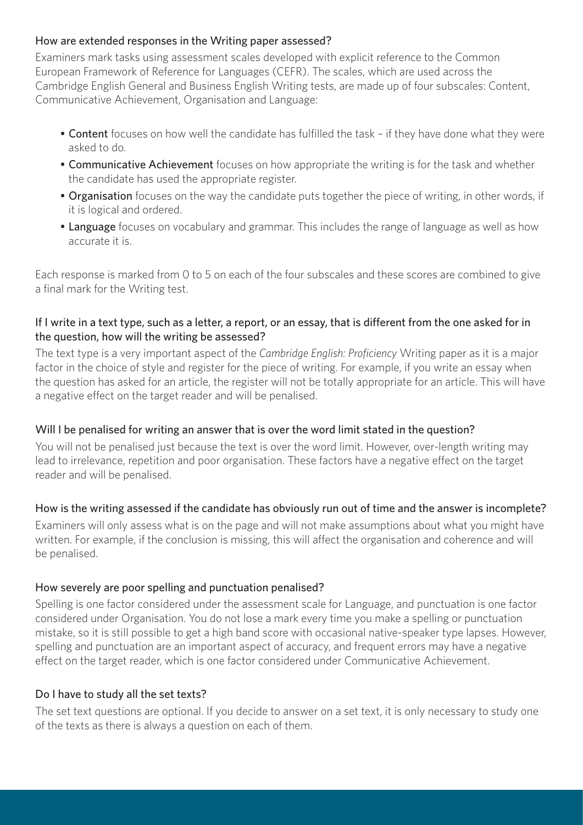#### How are extended responses in the Writing paper assessed?

Examiners mark tasks using assessment scales developed with explicit reference to the Common European Framework of Reference for Languages (CEFR). The scales, which are used across the Cambridge English General and Business English Writing tests, are made up of four subscales: Content, Communicative Achievement, Organisation and Language:

- Content focuses on how well the candidate has fulfilled the task if they have done what they were asked to do.
- Communicative Achievement focuses on how appropriate the writing is for the task and whether the candidate has used the appropriate register.
- Organisation focuses on the way the candidate puts together the piece of writing, in other words, if it is logical and ordered.
- Language focuses on vocabulary and grammar. This includes the range of language as well as how accurate it is.

Each response is marked from 0 to 5 on each of the four subscales and these scores are combined to give a final mark for the Writing test.

#### If I write in a text type, such as a letter, a report, or an essay, that is different from the one asked for in the question, how will the writing be assessed?

The text type is a very important aspect of the *Cambridge English: Proficiency* Writing paper as it is a major factor in the choice of style and register for the piece of writing. For example, if you write an essay when the question has asked for an article, the register will not be totally appropriate for an article. This will have a negative effect on the target reader and will be penalised.

#### Will I be penalised for writing an answer that is over the word limit stated in the question?

You will not be penalised just because the text is over the word limit. However, over-length writing may lead to irrelevance, repetition and poor organisation. These factors have a negative effect on the target reader and will be penalised.

#### How is the writing assessed if the candidate has obviously run out of time and the answer is incomplete?

Examiners will only assess what is on the page and will not make assumptions about what you might have written. For example, if the conclusion is missing, this will affect the organisation and coherence and will be penalised.

#### How severely are poor spelling and punctuation penalised?

Spelling is one factor considered under the assessment scale for Language, and punctuation is one factor considered under Organisation. You do not lose a mark every time you make a spelling or punctuation mistake, so it is still possible to get a high band score with occasional native-speaker type lapses. However, spelling and punctuation are an important aspect of accuracy, and frequent errors may have a negative effect on the target reader, which is one factor considered under Communicative Achievement.

#### Do I have to study all the set texts?

The set text questions are optional. If you decide to answer on a set text, it is only necessary to study one of the texts as there is always a question on each of them.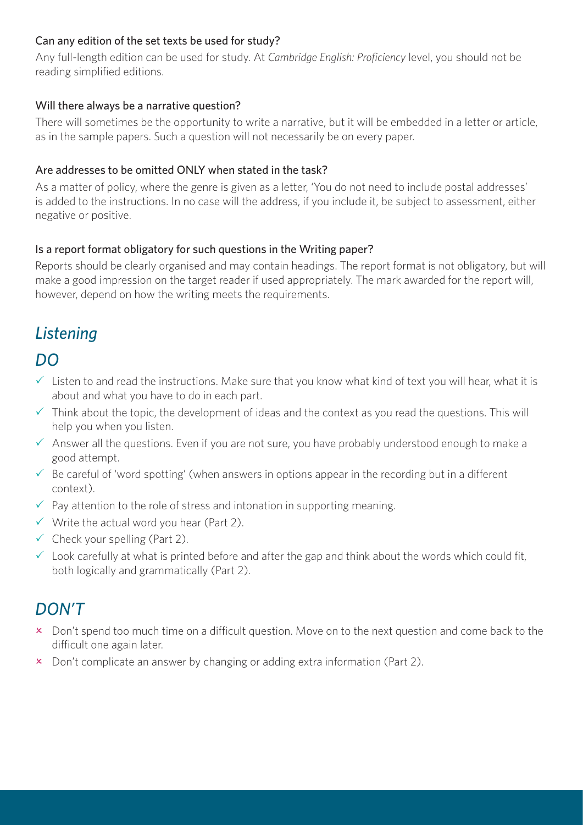#### Can any edition of the set texts be used for study?

Any full-length edition can be used for study. At *Cambridge English: Proficiency* level, you should not be reading simplified editions.

#### Will there always be a narrative question?

There will sometimes be the opportunity to write a narrative, but it will be embedded in a letter or article, as in the sample papers. Such a question will not necessarily be on every paper.

#### Are addresses to be omitted ONLY when stated in the task?

As a matter of policy, where the genre is given as a letter, 'You do not need to include postal addresses' is added to the instructions. In no case will the address, if you include it, be subject to assessment, either negative or positive.

#### Is a report format obligatory for such questions in the Writing paper?

Reports should be clearly organised and may contain headings. The report format is not obligatory, but will make a good impression on the target reader if used appropriately. The mark awarded for the report will, however, depend on how the writing meets the requirements.

# *Listening*

## *DO*

- $\checkmark$  Listen to and read the instructions. Make sure that you know what kind of text you will hear, what it is about and what you have to do in each part.
- $\checkmark$  Think about the topic, the development of ideas and the context as you read the questions. This will help you when you listen.
- $\checkmark$  Answer all the questions. Even if you are not sure, you have probably understood enough to make a good attempt.
- $\checkmark$  Be careful of 'word spotting' (when answers in options appear in the recording but in a different context).
- $\checkmark$  Pay attention to the role of stress and intonation in supporting meaning.
- $\checkmark$  Write the actual word you hear (Part 2).
- $\checkmark$  Check your spelling (Part 2).
- $\checkmark$  Look carefully at what is printed before and after the gap and think about the words which could fit, both logically and grammatically (Part 2).

## *DON'T*

- **x** Don't spend too much time on a difficult question. Move on to the next question and come back to the difficult one again later.
- $\boldsymbol{\times}$  Don't complicate an answer by changing or adding extra information (Part 2).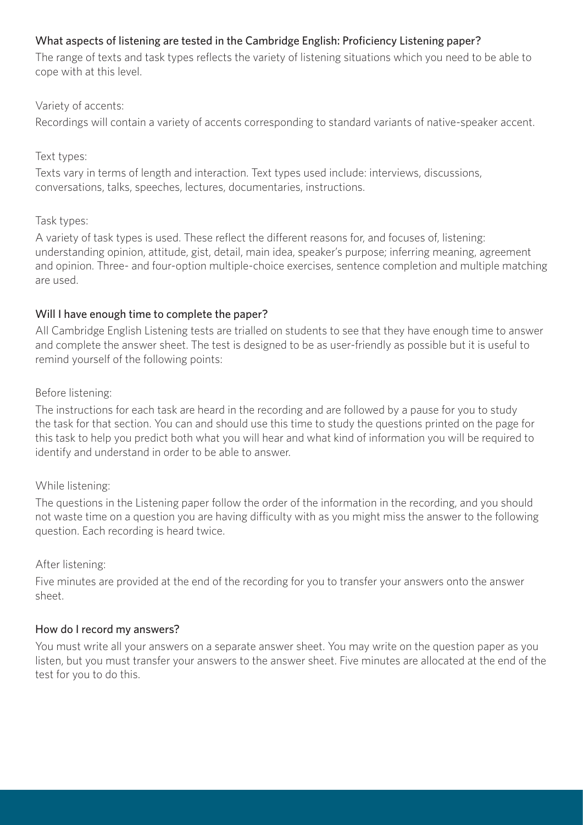#### What aspects of listening are tested in the Cambridge English: Proficiency Listening paper?

The range of texts and task types reflects the variety of listening situations which you need to be able to cope with at this level.

#### Variety of accents:

Recordings will contain a variety of accents corresponding to standard variants of native-speaker accent.

#### Text types:

Texts vary in terms of length and interaction. Text types used include: interviews, discussions, conversations, talks, speeches, lectures, documentaries, instructions.

#### Task types:

A variety of task types is used. These reflect the different reasons for, and focuses of, listening: understanding opinion, attitude, gist, detail, main idea, speaker's purpose; inferring meaning, agreement and opinion. Three- and four-option multiple-choice exercises, sentence completion and multiple matching are used.

#### Will I have enough time to complete the paper?

All Cambridge English Listening tests are trialled on students to see that they have enough time to answer and complete the answer sheet. The test is designed to be as user-friendly as possible but it is useful to remind yourself of the following points:

Before listening:

The instructions for each task are heard in the recording and are followed by a pause for you to study the task for that section. You can and should use this time to study the questions printed on the page for this task to help you predict both what you will hear and what kind of information you will be required to identify and understand in order to be able to answer.

#### While listening:

The questions in the Listening paper follow the order of the information in the recording, and you should not waste time on a question you are having difficulty with as you might miss the answer to the following question. Each recording is heard twice.

#### After listening:

Five minutes are provided at the end of the recording for you to transfer your answers onto the answer sheet.

#### How do I record my answers?

You must write all your answers on a separate answer sheet. You may write on the question paper as you listen, but you must transfer your answers to the answer sheet. Five minutes are allocated at the end of the test for you to do this.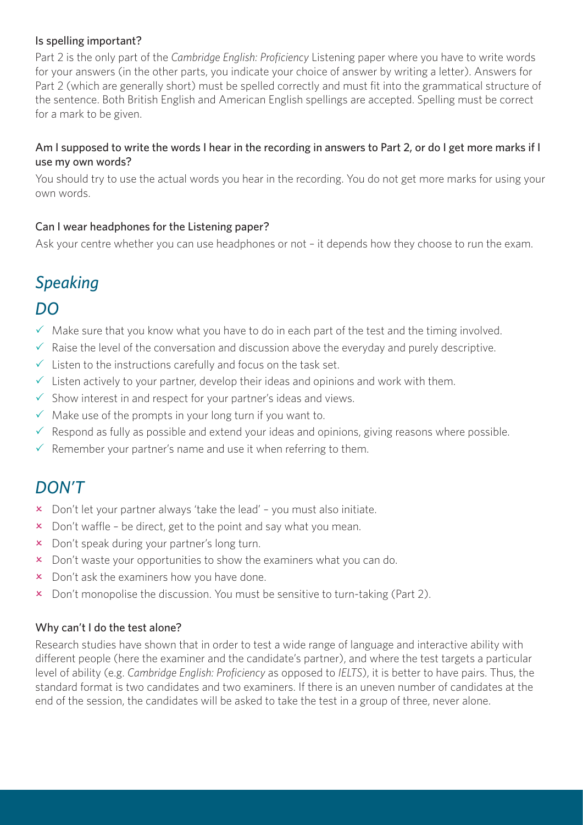#### Is spelling important?

Part 2 is the only part of the *Cambridge English: Proficiency* Listening paper where you have to write words for your answers (in the other parts, you indicate your choice of answer by writing a letter). Answers for Part 2 (which are generally short) must be spelled correctly and must fit into the grammatical structure of the sentence. Both British English and American English spellings are accepted. Spelling must be correct for a mark to be given.

#### Am I supposed to write the words I hear in the recording in answers to Part 2, or do I get more marks if I use my own words?

You should try to use the actual words you hear in the recording. You do not get more marks for using your own words.

#### Can I wear headphones for the Listening paper?

Ask your centre whether you can use headphones or not – it depends how they choose to run the exam.

# *Speaking*

## *DO*

- $\checkmark$  Make sure that you know what you have to do in each part of the test and the timing involved.
- $\checkmark$  Raise the level of the conversation and discussion above the everyday and purely descriptive.
- $\checkmark$  Listen to the instructions carefully and focus on the task set.
- $\checkmark$  Listen actively to your partner, develop their ideas and opinions and work with them.
- $\checkmark$  Show interest in and respect for your partner's ideas and views.
- $\checkmark$  Make use of the prompts in your long turn if you want to.
- $\checkmark$  Respond as fully as possible and extend your ideas and opinions, giving reasons where possible.
- $\checkmark$  Remember your partner's name and use it when referring to them.

## *DON'T*

- $\overline{\mathsf{x}}$  Don't let your partner always 'take the lead' you must also initiate.
- $\boldsymbol{\times}$  Don't waffle be direct, get to the point and say what you mean.
- x Don't speak during your partner's long turn.
- $\overline{\mathsf{x}}$  Don't waste your opportunities to show the examiners what you can do.
- $\times$  Don't ask the examiners how you have done.
- $\overline{\mathsf{x}}$  Don't monopolise the discussion. You must be sensitive to turn-taking (Part 2).

#### Why can't I do the test alone?

Research studies have shown that in order to test a wide range of language and interactive ability with different people (here the examiner and the candidate's partner), and where the test targets a particular level of ability (e.g. *Cambridge English: Proficiency* as opposed to *IELTS*), it is better to have pairs. Thus, the standard format is two candidates and two examiners. If there is an uneven number of candidates at the end of the session, the candidates will be asked to take the test in a group of three, never alone.